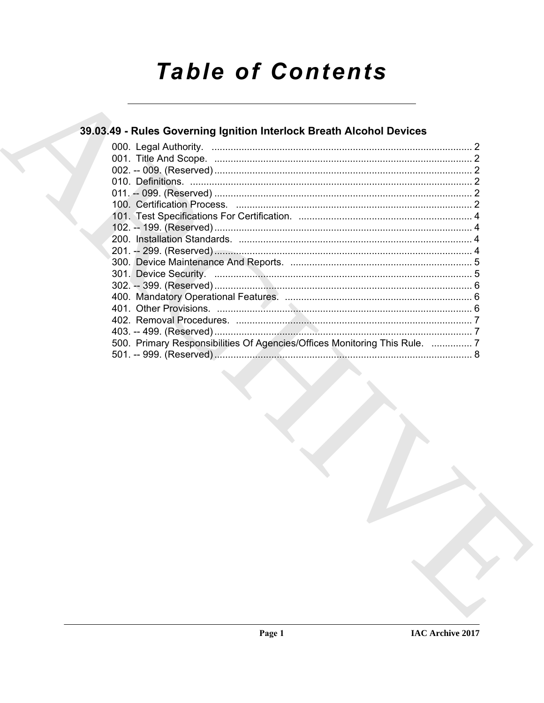# **Table of Contents**

### 39.03.49 - Rules Governing Ignition Interlock Breath Alcohol Devices

| 500. Primary Responsibilities Of Agencies/Offices Monitoring This Rule.  7 |  |
|----------------------------------------------------------------------------|--|
|                                                                            |  |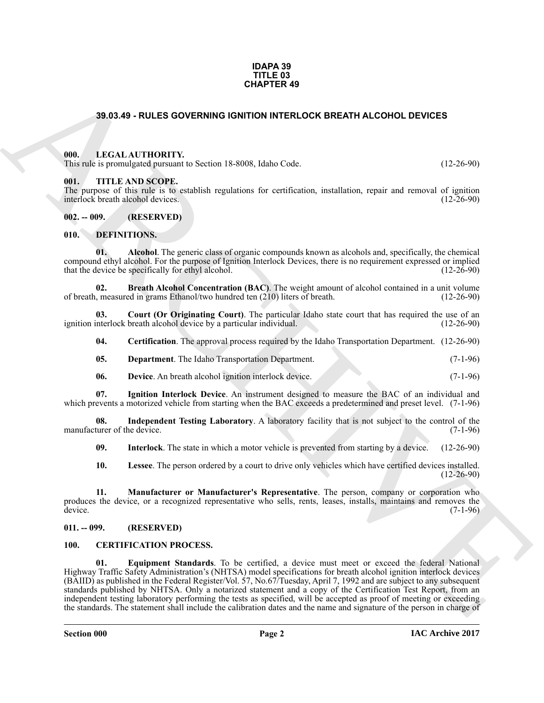#### **IDAPA 39 TITLE 03 CHAPTER 49**

#### <span id="page-1-0"></span>**39.03.49 - RULES GOVERNING IGNITION INTERLOCK BREATH ALCOHOL DEVICES**

#### <span id="page-1-1"></span>**000. LEGAL AUTHORITY.**

This rule is promulgated pursuant to Section 18-8008, Idaho Code. (12-26-90)

#### <span id="page-1-2"></span>**001. TITLE AND SCOPE.**

The purpose of this rule is to establish regulations for certification, installation, repair and removal of ignition interlock breath alcohol devices. (12-26-90) interlock breath alcohol devices.

<span id="page-1-3"></span>**002. -- 009. (RESERVED)**

#### <span id="page-1-9"></span><span id="page-1-4"></span>**010. DEFINITIONS.**

<span id="page-1-10"></span>**01. Alcohol**. The generic class of organic compounds known as alcohols and, specifically, the chemical compound ethyl alcohol. For the purpose of Ignition Interlock Devices, there is no requirement expressed or implied that the device be specifically for ethyl alcohol.

<span id="page-1-11"></span>**02.** Breath Alcohol Concentration (BAC). The weight amount of alcohol contained in a unit volume measured in grams Ethanol/two hundred ten (210) liters of breath. (12-26-90) of breath, measured in grams Ethanol/two hundred ten  $(210)$  liters of breath.

**03. Court (Or Originating Court)**. The particular Idaho state court that has required the use of an interlock breath alcohol device by a particular individual. (12-26-90) ignition interlock breath alcohol device by a particular individual.

<span id="page-1-13"></span><span id="page-1-12"></span>**04. Certification**. The approval process required by the Idaho Transportation Department. (12-26-90)

- <span id="page-1-14"></span>**05. Department**. The Idaho Transportation Department. (7-1-96)
- <span id="page-1-20"></span><span id="page-1-15"></span>**06. Device**. An breath alcohol ignition interlock device. (7-1-96)

**07. Ignition Interlock Device**. An instrument designed to measure the BAC of an individual and which prevents a motorized vehicle from starting when the BAC exceeds a predetermined and preset level. (7-1-96)

**08.** Independent Testing Laboratory. A laboratory facility that is not subject to the control of the turer of the device. (7-1-96) manufacturer of the device.

<span id="page-1-17"></span><span id="page-1-16"></span>**09. Interlock**. The state in which a motor vehicle is prevented from starting by a device. (12-26-90)

<span id="page-1-19"></span><span id="page-1-18"></span>**10. Lessee**. The person ordered by a court to drive only vehicles which have certified devices installed. (12-26-90)

**11. Manufacturer or Manufacturer's Representative**. The person, company or corporation who produces the device, or a recognized representative who sells, rents, leases, installs, maintains and removes the device. (7-1-96) device.  $(7-1-96)$ 

#### <span id="page-1-5"></span>**011. -- 099. (RESERVED)**

#### <span id="page-1-8"></span><span id="page-1-7"></span><span id="page-1-6"></span>**100. CERTIFICATION PROCESS.**

**38,63.49 - RULES GOVERNING IGNITION INTERACTOR BREATH ALCOHOL DEVICES<br>
THE LIGAL AUTIONATY is Section 18 souls halos Code.<br>
THE LIGAL AUTIONATY is Section 18 souls halos Code.<br>
THE THE ARCHIVES CONFIDENTIAL SECTION INTO 01. Equipment Standards**. To be certified, a device must meet or exceed the federal National Highway Traffic Safety Administration's (NHTSA) model specifications for breath alcohol ignition interlock devices (BAIID) as published in the Federal Register/Vol. 57, No.67/Tuesday, April 7, 1992 and are subject to any subsequent standards published by NHTSA. Only a notarized statement and a copy of the Certification Test Report, from an independent testing laboratory performing the tests as specified, will be accepted as proof of meeting or exceeding the standards. The statement shall include the calibration dates and the name and signature of the person in charge of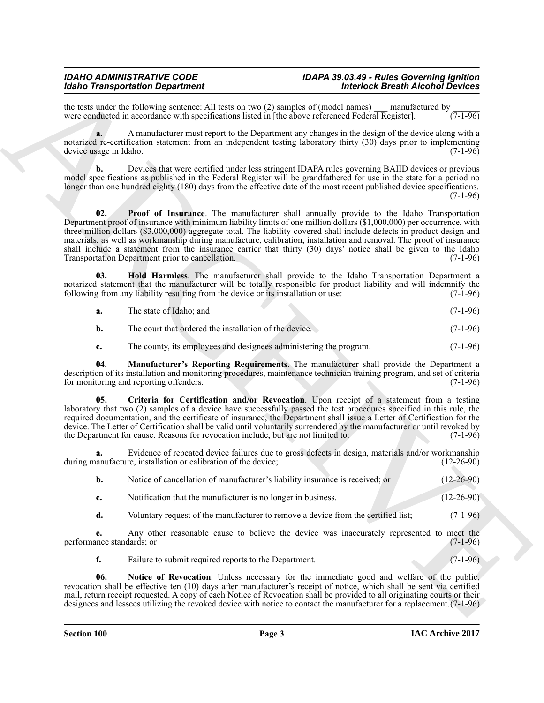## *Idaho Transportation Department Interlock Breath Alcohol Devices*

the tests under the following sentence: All tests on two (2) samples of (model names) \_\_\_ manufactured by \_\_\_\_\_\_ were conducted in accordance with specifications listed in [the above referenced Federal Register].

**a.** A manufacturer must report to the Department any changes in the design of the device along with a notarized re-certification statement from an independent testing laboratory thirty (30) days prior to implementing device usage in Idaho. (7-1-96) device usage in Idaho.

<span id="page-2-4"></span>**b.** Devices that were certified under less stringent IDAPA rules governing BAIID devices or previous model specifications as published in the Federal Register will be grandfathered for use in the state for a period no longer than one hundred eighty (180) days from the effective date of the most recent published device specifications.  $(7-1-96)$ 

More Transportation Dependent Material and the United Constraint of the Constraint Constraint Constraint Constraint Constraint Constraint Constraint Constraint Constraint Constraint Constraint Constraint Constraint Constr **02. Proof of Insurance**. The manufacturer shall annually provide to the Idaho Transportation Department proof of insurance with minimum liability limits of one million dollars (\$1,000,000) per occurrence, with three million dollars (\$3,000,000) aggregate total. The liability covered shall include defects in product design and materials, as well as workmanship during manufacture, calibration, installation and removal. The proof of insurance shall include a statement from the insurance carrier that thirty (30) days' notice shall be given to the Idaho<br>Transportation Department prior to cancellation. (7-1-96) Transportation Department prior to cancellation.

**03. Hold Harmless**. The manufacturer shall provide to the Idaho Transportation Department a notarized statement that the manufacturer will be totally responsible for product liability and will indemnify the following from any liability resulting from the device or its installation or use: (7-1-96) following from any liability resulting from the device or its installation or use:

<span id="page-2-1"></span>

| а. | The state of Idaho; and |  | $(7-1-96)$ |
|----|-------------------------|--|------------|
|----|-------------------------|--|------------|

**b.** The court that ordered the installation of the device. (7-1-96)

<span id="page-2-2"></span><span id="page-2-0"></span>**c.** The county, its employees and designees administering the program. (7-1-96)

**04. Manufacturer's Reporting Requirements**. The manufacturer shall provide the Department a description of its installation and monitoring procedures, maintenance technician training program, and set of criteria for monitoring and reporting offenders.

**05. Criteria for Certification and/or Revocation**. Upon receipt of a statement from a testing laboratory that two (2) samples of a device have successfully passed the test procedures specified in this rule, the required documentation, and the certificate of insurance, the Department shall issue a Letter of Certification for the device. The Letter of Certification shall be valid until voluntarily surrendered by the manufacturer or until revoked by the Department for cause. Reasons for revocation include, but are not limited to: (7-1-96) the Department for cause. Reasons for revocation include, but are not limited to:

**a.** Evidence of repeated device failures due to gross defects in design, materials and/or workmanship anufacture, installation or calibration of the device: (12-26-90) during manufacture, installation or calibration of the device;

| Notice of cancellation of manufacturer's liability insurance is received; or | $(12-26-90)$ |
|------------------------------------------------------------------------------|--------------|
|                                                                              |              |

- **c.** Notification that the manufacturer is no longer in business. (12-26-90)
- **d.** Voluntary request of the manufacturer to remove a device from the certified list; (7-1-96)

**e.** Any other reasonable cause to believe the device was inaccurately represented to meet the ince standards; or  $(7-1-96)$ performance standards; or

<span id="page-2-3"></span>**f.** Failure to submit required reports to the Department. (7-1-96)

**06. Notice of Revocation**. Unless necessary for the immediate good and welfare of the public, revocation shall be effective ten (10) days after manufacturer's receipt of notice, which shall be sent via certified mail, return receipt requested. A copy of each Notice of Revocation shall be provided to all originating courts or their designees and lessees utilizing the revoked device with notice to contact the manufacturer for a replacement.(7-1-96)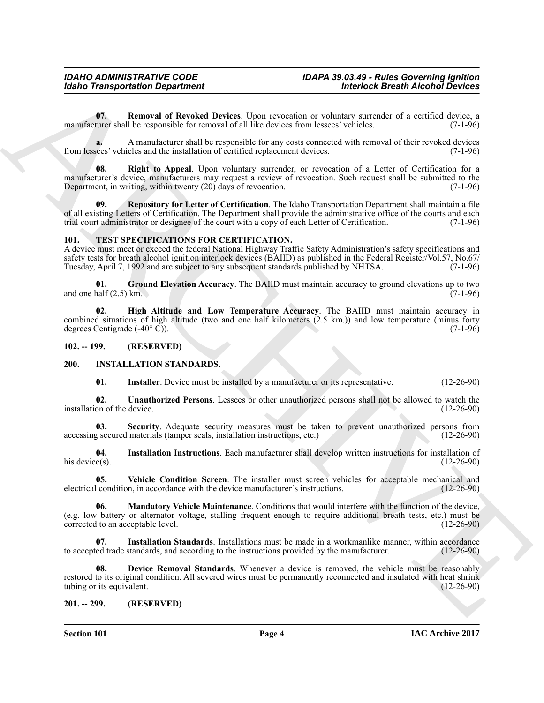<span id="page-3-4"></span>**07. Removal of Revoked Devices**. Upon revocation or voluntary surrender of a certified device, a manufacturer shall be responsible for removal of all like devices from lessees' vehicles. (7-1-96)

**a.** A manufacturer shall be responsible for any costs connected with removal of their revoked devices from lessees' vehicles and the installation of certified replacement devices. (7-1-96)

<span id="page-3-6"></span>**08. Right to Appeal**. Upon voluntary surrender, or revocation of a Letter of Certification for a manufacturer's device, manufacturers may request a review of revocation. Such request shall be submitted to the Department, in writing, within twenty (20) days of revocation. (7-1-96)

<span id="page-3-5"></span>**09. Repository for Letter of Certification**. The Idaho Transportation Department shall maintain a file of all existing Letters of Certification. The Department shall provide the administrative office of the courts and each trial court administrator or designee of the court with a copy of each Letter of Certification. (7-1-9 trial court administrator or designee of the court with a copy of each Letter of Certification.

#### <span id="page-3-16"></span><span id="page-3-0"></span>**101. TEST SPECIFICATIONS FOR CERTIFICATION.**

A device must meet or exceed the federal National Highway Traffic Safety Administration's safety specifications and safety tests for breath alcohol ignition interlock devices (BAIID) as published in the Federal Register/Vol.57, No.67/ Tuesday, April 7, 1992 and are subject to any subsequent standards published by NHTSA. (7-1-96)

<span id="page-3-17"></span>**01.** Ground Elevation Accuracy. The BAIID must maintain accuracy to ground elevations up to two dalf (2.5) km. and one half  $(2.5)$  km.

<span id="page-3-18"></span>**02. High Altitude and Low Temperature Accuracy**. The BAIID must maintain accuracy in combined situations of high altitude (two and one half kilometers  $(2.5 \text{ km.})$ ) and low temperature (minus forty degrees Centigrade  $(-40^{\circ} \text{ C})$ ). degrees Centigrade  $(-40^{\circ} \tilde{C})$ .

<span id="page-3-1"></span>**102. -- 199. (RESERVED)**

#### <span id="page-3-2"></span>**200. INSTALLATION STANDARDS.**

<span id="page-3-14"></span><span id="page-3-13"></span><span id="page-3-11"></span><span id="page-3-7"></span>**01.** Installer. Device must be installed by a manufacturer or its representative. (12-26-90)

**02. Unauthorized Persons**. Lessees or other unauthorized persons shall not be allowed to watch the installation of the device.

**Security**. Adequate security measures must be taken to prevent unauthorized persons from materials (tamper seals, installation instructions, etc.) (12-26-90) accessing secured materials (tamper seals, installation instructions, etc.)

<span id="page-3-9"></span>**04.** Installation Instructions. Each manufacturer shall develop written instructions for installation of his device(s). (12-26-90) his device(s).  $(12-26-90)$ 

<span id="page-3-15"></span>**05.** Vehicle Condition Screen. The installer must screen vehicles for acceptable mechanical and condition, in accordance with the device manufacturer's instructions. (12-26-90) electrical condition, in accordance with the device manufacturer's instructions.

<span id="page-3-12"></span>**06. Mandatory Vehicle Maintenance**. Conditions that would interfere with the function of the device, (e.g. low battery or alternator voltage, stalling frequent enough to require additional breath tests, etc.) must be corrected to an acceptable level. (12-26-90)

<span id="page-3-10"></span><span id="page-3-8"></span>**07.** Installation Standards. Installations must be made in a workmanlike manner, within accordance ed trade standards, and according to the instructions provided by the manufacturer. (12-26-90) to accepted trade standards, and according to the instructions provided by the manufacturer.

**Example Transportation Department**<br> **ARCHIVE CONTEXT CONTEXT CONTEXT CONTEXT CONTEXT CONTEXT CONTEXT CONTEXT CONTEXT CONTEXT CONTEXT CONTEXT CONTEXT CONTEXT CONTEXT CONTEXT CONTEXT CONTEXT CONTEXT CONTEXT CONTEXT CONTEX 08. Device Removal Standards**. Whenever a device is removed, the vehicle must be reasonably restored to its original condition. All severed wires must be permanently reconnected and insulated with heat shrink tubing or its equivalent. (12-26-90) tubing or its equivalent.

#### <span id="page-3-3"></span>**201. -- 299. (RESERVED)**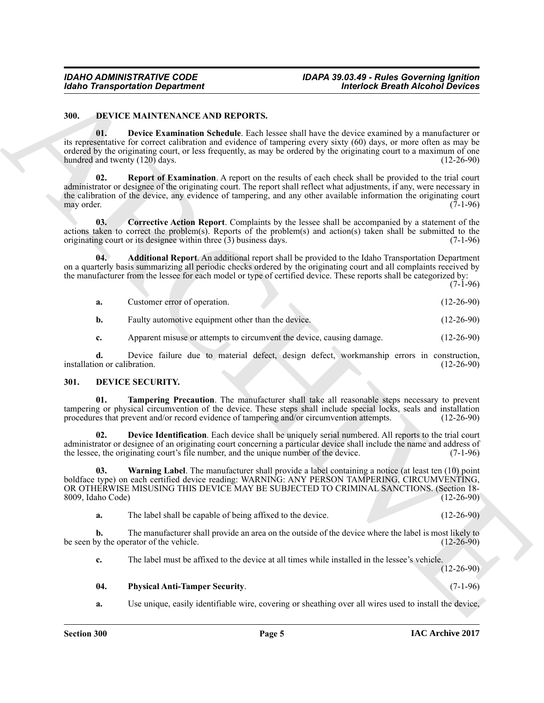#### <span id="page-4-5"></span><span id="page-4-2"></span><span id="page-4-0"></span>**300. DEVICE MAINTENANCE AND REPORTS.**

**Example Transportation Department<br>
3.00** The Hall that the state of the state of the state of the state of the state of the state of the state of the state of the state of the state of the state of the state of the stat **01. Device Examination Schedule**. Each lessee shall have the device examined by a manufacturer or its representative for correct calibration and evidence of tampering every sixty (60) days, or more often as may be ordered by the originating court, or less frequently, as may be ordered by the originating court to a maximum of one hundred and twenty  $(120)$  days.

<span id="page-4-6"></span>**02. Report of Examination**. A report on the results of each check shall be provided to the trial court administrator or designee of the originating court. The report shall reflect what adjustments, if any, were necessary in the calibration of the device, any evidence of tampering, and any other available information the originating court may order. (7-1-96) may order. (7-1-96)

<span id="page-4-4"></span>**03. Corrective Action Report**. Complaints by the lessee shall be accompanied by a statement of the actions taken to correct the problem(s). Reports of the problem(s) and action(s) taken shall be submitted to the originating court or its designee within three (3) business days.  $(7-1-96)$ originating court or its designee within three  $(3)$  business days.

**04. Additional Report**. An additional report shall be provided to the Idaho Transportation Department on a quarterly basis summarizing all periodic checks ordered by the originating court and all complaints received by the manufacturer from the lessee for each model or type of certified device. These reports shall be categorized by:

 $(7-1-96)$ 

<span id="page-4-3"></span>

| a. | Customer error of operation. |  | $(12-26-90)$ |
|----|------------------------------|--|--------------|
|    |                              |  |              |

**b.** Faulty automotive equipment other than the device. (12-26-90)

<span id="page-4-10"></span>**c.** Apparent misuse or attempts to circumvent the device, causing damage. (12-26-90)

**d.** Device failure due to material defect, design defect, workmanship errors in construction, on or calibration. (12-26-90) installation or calibration.

#### <span id="page-4-7"></span><span id="page-4-1"></span>**301. DEVICE SECURITY.**

**01. Tampering Precaution**. The manufacturer shall take all reasonable steps necessary to prevent tampering or physical circumvention of the device. These steps shall include special locks, seals and installation procedures that prevent and/or record evidence of tampering and/or circumvention attempts. (12-26-90) procedures that prevent and/or record evidence of tampering and/or circumvention attempts.

<span id="page-4-8"></span>**02. Device Identification**. Each device shall be uniquely serial numbered. All reports to the trial court administrator or designee of an originating court concerning a particular device shall include the name and address of the lessee, the originating court's file number, and the unique number of the device. (7-1-96) the lessee, the originating court's file number, and the unique number of the device.

<span id="page-4-11"></span>**03. Warning Label**. The manufacturer shall provide a label containing a notice (at least ten (10) point boldface type) on each certified device reading: WARNING: ANY PERSON TAMPERING, CIRCUMVENTING, OR OTHERWISE MISUSING THIS DEVICE MAY BE SUBJECTED TO CRIMINAL SANCTIONS. (Section 18-<br>8009, Idaho Code) (12-26-90) 8009, Idaho Code)

**a.** The label shall be capable of being affixed to the device. (12-26-90)

**b.** The manufacturer shall provide an area on the outside of the device where the label is most likely to by the operator of the vehicle. (12-26-90) be seen by the operator of the vehicle.

<span id="page-4-9"></span>**c.** The label must be affixed to the device at all times while installed in the lessee's vehicle. (12-26-90)

**04. Physical Anti-Tamper Security**. (7-1-96)

**a.** Use unique, easily identifiable wire, covering or sheathing over all wires used to install the device,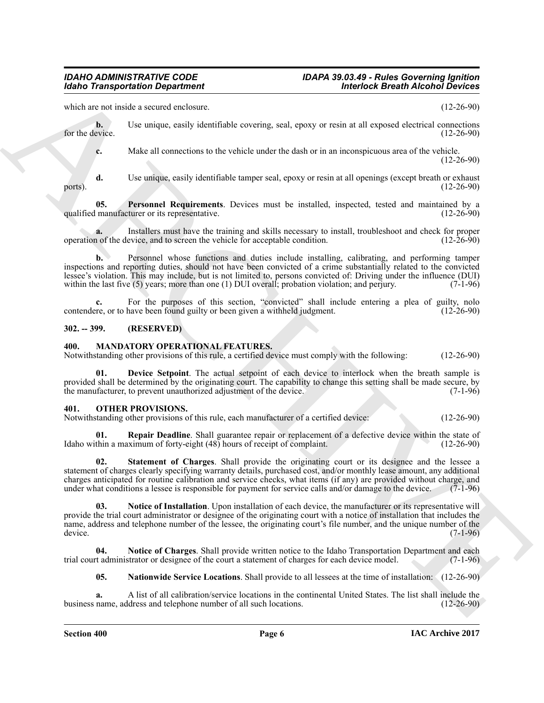## *Idaho Transportation Department Interlock Breath Alcohol Devices*

## *IDAHO ADMINISTRATIVE CODE IDAPA 39.03.49 - Rules Governing Ignition*

which are not inside a secured enclosure. (12-26-90)

**b.** Use unique, easily identifiable covering, seal, epoxy or resin at all exposed electrical connections for the device. (12-26-90) for the device.  $(12-26-90)$ 

<span id="page-5-3"></span>

**c.** Make all connections to the vehicle under the dash or in an inconspicuous area of the vehicle. (12-26-90)

**d.** Use unique, easily identifiable tamper seal, epoxy or resin at all openings (except breath or exhaust (12-26-90) ports).  $(12-26-90)$ 

**05. Personnel Requirements**. Devices must be installed, inspected, tested and maintained by a manufacturer or its representative. (12-26-90) qualified manufacturer or its representative.

**a.** Installers must have the training and skills necessary to install, troubleshoot and check for proper not of the device, and to screen the vehicle for acceptable condition. (12-26-90) operation of the device, and to screen the vehicle for acceptable condition.

**b.** Personnel whose functions and duties include installing, calibrating, and performing tamper inspections and reporting duties, should not have been convicted of a crime substantially related to the convicted lessee's violation. This may include, but is not limited to, persons convicted of: Driving under the influence (DUI) within the last five (5) years; more than one (1) DUI overall; probation violation; and perjury. (7-1-96)

**c.** For the purposes of this section, "convicted" shall include entering a plea of guilty, nolo re, or to have been found guilty or been given a withheld judgment. (12-26-90) contendere, or to have been found guilty or been given a withheld judgment.

#### <span id="page-5-0"></span>**302. -- 399. (RESERVED)**

#### <span id="page-5-4"></span><span id="page-5-1"></span>**400. MANDATORY OPERATIONAL FEATURES.**

Notwithstanding other provisions of this rule, a certified device must comply with the following: (12-26-90)

<span id="page-5-5"></span>**01. Device Setpoint**. The actual setpoint of each device to interlock when the breath sample is provided shall be determined by the originating court. The capability to change this setting shall be made secure, by the manufacturer, to prevent unauthorized adjustment of the device. (7-1-96) the manufacturer, to prevent unauthorized adjustment of the device.

#### <span id="page-5-7"></span><span id="page-5-2"></span>**401. OTHER PROVISIONS.**

Notwithstanding other provisions of this rule, each manufacturer of a certified device: (12-26-90)

<span id="page-5-11"></span><span id="page-5-10"></span>**01. Repair Deadline**. Shall guarantee repair or replacement of a defective device within the state of Idaho within a maximum of forty-eight (48) hours of receipt of complaint. (12-26-90)

Mohio Transportation Department<br>
scale as security and valid constructs of the control of the second of the second of the second of the second of the second of the second of the second of the second of the second of the **02. Statement of Charges**. Shall provide the originating court or its designee and the lessee a statement of charges clearly specifying warranty details, purchased cost, and/or monthly lease amount, any additional charges anticipated for routine calibration and service checks, what items (if any) are provided without charge, and under what conditions a lessee is responsible for payment for service calls and/or damage to the device. under what conditions a lessee is responsible for payment for service calls and/or damage to the device.

<span id="page-5-9"></span>**03. Notice of Installation**. Upon installation of each device, the manufacturer or its representative will provide the trial court administrator or designee of the originating court with a notice of installation that includes the name, address and telephone number of the lessee, the originating court's file number, and the unique number of the device. (7-1-96) device.  $(7-1-96)$ 

**04. Notice of Charges**. Shall provide written notice to the Idaho Transportation Department and each trial court administrator or designee of the court a statement of charges for each device model. (7-1-96)

<span id="page-5-8"></span><span id="page-5-6"></span>**05. Nationwide Service Locations**. Shall provide to all lessees at the time of installation: (12-26-90)

**a.** A list of all calibration/service locations in the continental United States. The list shall include the name, address and telephone number of all such locations. (12-26-90) business name, address and telephone number of all such locations.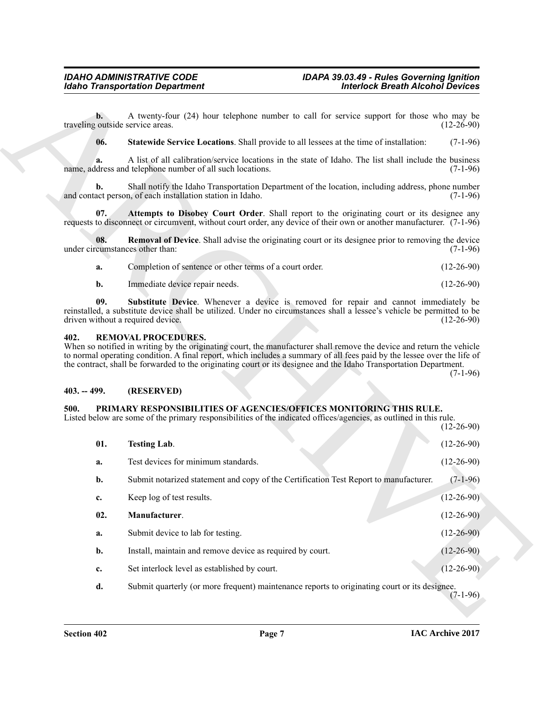**b.** A twenty-four (24) hour telephone number to call for service support for those who may be coutside service areas. (12-26-90) traveling outside service areas.

<span id="page-6-5"></span>**06. Statewide Service Locations**. Shall provide to all lessees at the time of installation: (7-1-96)

**a.** A list of all calibration/service locations in the state of Idaho. The list shall include the business name, address and telephone number of all such locations. (7-1-96)

**b.** Shall notify the Idaho Transportation Department of the location, including address, phone number and contact person, of each installation station in Idaho. (7-1-96)

<span id="page-6-3"></span>**07. Attempts to Disobey Court Order**. Shall report to the originating court or its designee any requests to disconnect or circumvent, without court order, any device of their own or another manufacturer. (7-1-96)

**08.** Removal of Device. Shall advise the originating court or its designee prior to removing the device cumstances other than: (7-1-96) under circumstances other than:

<span id="page-6-6"></span><span id="page-6-4"></span>

| а. | Completion of sentence or other terms of a court order. | $(12-26-90)$ |
|----|---------------------------------------------------------|--------------|
|    | Immediate device repair needs.                          | $(12-26-90)$ |

**09. Substitute Device**. Whenever a device is removed for repair and cannot immediately be reinstalled, a substitute device shall be utilized. Under no circumstances shall a lessee's vehicle be permitted to be driven without a required device. (12-26-90)

#### <span id="page-6-10"></span><span id="page-6-0"></span>**402. REMOVAL PROCEDURES.**

When so notified in writing by the originating court, the manufacturer shall remove the device and return the vehicle to normal operating condition. A final report, which includes a summary of all fees paid by the lessee over the life of the contract, shall be forwarded to the originating court or its designee and the Idaho Transportation Department.

 $(7-1-96)$ 

#### <span id="page-6-1"></span>**403. -- 499. (RESERVED)**

#### <span id="page-6-7"></span><span id="page-6-2"></span>**500. PRIMARY RESPONSIBILITIES OF AGENCIES/OFFICES MONITORING THIS RULE.**

<span id="page-6-9"></span><span id="page-6-8"></span>Listed below are some of the primary responsibilities of the indicated offices/agencies, as outlined in this rule. (12-26-90)

**Example Transportation Department<br>
The Vector (13.26 to the United States and The United States and The United States and The United States and The United States and The United States and The United States and The Unite 01. Testing Lab**. (12-26-90) **a.** Test devices for minimum standards. (12-26-90) **b.** Submit notarized statement and copy of the Certification Test Report to manufacturer. (7-1-96) **c.** Keep log of test results. (12-26-90) **02. Manufacturer**. (12-26-90) **a.** Submit device to lab for testing. (12-26-90) **b.** Install, maintain and remove device as required by court. (12-26-90) **c.** Set interlock level as established by court. (12-26-90) **d.** Submit quarterly (or more frequent) maintenance reports to originating court or its designee.  $(7-1-96)$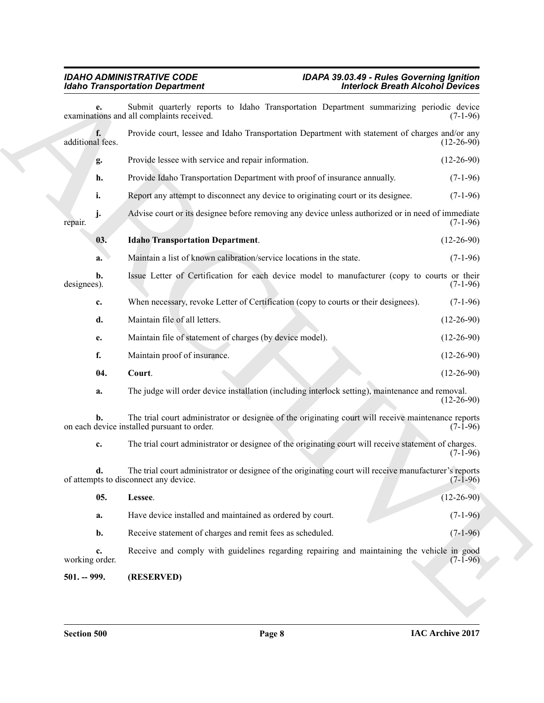<span id="page-7-3"></span><span id="page-7-2"></span><span id="page-7-1"></span><span id="page-7-0"></span>

|                               | <b>Idaho Transportation Department</b>                                                                                                             | <b>Interlock Breath Alcohol Devices</b> |  |  |
|-------------------------------|----------------------------------------------------------------------------------------------------------------------------------------------------|-----------------------------------------|--|--|
|                               | Submit quarterly reports to Idaho Transportation Department summarizing periodic device<br>examinations and all complaints received.               | $(7-1-96)$                              |  |  |
| f.<br>additional fees.        | Provide court, lessee and Idaho Transportation Department with statement of charges and/or any                                                     | $(12-26-90)$                            |  |  |
| g.                            | Provide lessee with service and repair information.                                                                                                | $(12-26-90)$                            |  |  |
| h.                            | Provide Idaho Transportation Department with proof of insurance annually.                                                                          | $(7-1-96)$                              |  |  |
| i.                            | Report any attempt to disconnect any device to originating court or its designee.                                                                  | $(7-1-96)$                              |  |  |
| j.<br>repair.                 | Advise court or its designee before removing any device unless authorized or in need of immediate                                                  | $(7-1-96)$                              |  |  |
| 03.                           | <b>Idaho Transportation Department.</b>                                                                                                            | $(12-26-90)$                            |  |  |
| a.                            | Maintain a list of known calibration/service locations in the state.                                                                               | $(7-1-96)$                              |  |  |
| $\mathbf{b}$ .<br>designees). | Issue Letter of Certification for each device model to manufacturer (copy to courts or their                                                       | $(7-1-96)$                              |  |  |
| c.                            | When necessary, revoke Letter of Certification (copy to courts or their designees).                                                                | $(7-1-96)$                              |  |  |
| d.                            | Maintain file of all letters.                                                                                                                      | $(12-26-90)$                            |  |  |
| e.                            | Maintain file of statement of charges (by device model).                                                                                           | $(12-26-90)$                            |  |  |
| f.                            | Maintain proof of insurance.                                                                                                                       | $(12-26-90)$                            |  |  |
| 04.                           | Court.                                                                                                                                             | $(12-26-90)$                            |  |  |
| a.                            | The judge will order device installation (including interlock setting), maintenance and removal.                                                   | $(12-26-90)$                            |  |  |
|                               | The trial court administrator or designee of the originating court will receive maintenance reports<br>on each device installed pursuant to order. | $(7-1-96)$                              |  |  |
| c.                            | The trial court administrator or designee of the originating court will receive statement of charges.                                              | $(7-1-96)$                              |  |  |
| d.                            | The trial court administrator or designee of the originating court will receive manufacturer's reports<br>of attempts to disconnect any device.    | $(7-1-96)$                              |  |  |
| 05.                           | Lessee.                                                                                                                                            | $(12-26-90)$                            |  |  |
| a.                            | Have device installed and maintained as ordered by court.                                                                                          | $(7-1-96)$                              |  |  |
| b.                            | Receive statement of charges and remit fees as scheduled.                                                                                          | $(7-1-96)$                              |  |  |
| c.<br>working order.          | Receive and comply with guidelines regarding repairing and maintaining the vehicle in good                                                         | $(7-1-96)$                              |  |  |
| $501. - 999.$                 | (RESERVED)                                                                                                                                         |                                         |  |  |